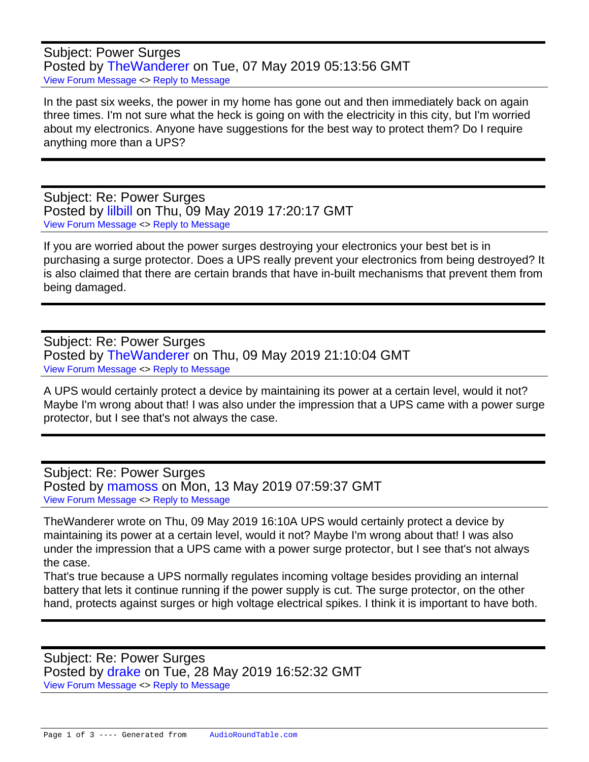Subject: Power Surges Posted by [TheWanderer](https://audioroundtable.com/forum/index.php?t=usrinfo&id=8551) on Tue, 07 May 2019 05:13:56 GMT [View Forum Message](https://audioroundtable.com/forum/index.php?t=rview&th=22469&goto=90265#msg_90265) <> [Reply to Message](https://audioroundtable.com/forum/index.php?t=post&reply_to=90265)

In the past six weeks, the power in my home has gone out and then immediately back on again three times. I'm not sure what the heck is going on with the electricity in this city, but I'm worried about my electronics. Anyone have suggestions for the best way to protect them? Do I require anything more than a UPS?

Subject: Re: Power Surges Posted by [lilbill](https://audioroundtable.com/forum/index.php?t=usrinfo&id=7555) on Thu, 09 May 2019 17:20:17 GMT [View Forum Message](https://audioroundtable.com/forum/index.php?t=rview&th=22469&goto=90269#msg_90269) <> [Reply to Message](https://audioroundtable.com/forum/index.php?t=post&reply_to=90269)

If you are worried about the power surges destroying your electronics your best bet is in purchasing a surge protector. Does a UPS really prevent your electronics from being destroyed? It is also claimed that there are certain brands that have in-built mechanisms that prevent them from being damaged.

Subject: Re: Power Surges Posted by [TheWanderer](https://audioroundtable.com/forum/index.php?t=usrinfo&id=8551) on Thu, 09 May 2019 21:10:04 GMT [View Forum Message](https://audioroundtable.com/forum/index.php?t=rview&th=22469&goto=90271#msg_90271) <> [Reply to Message](https://audioroundtable.com/forum/index.php?t=post&reply_to=90271)

A UPS would certainly protect a device by maintaining its power at a certain level, would it not? Maybe I'm wrong about that! I was also under the impression that a UPS came with a power surge protector, but I see that's not always the case.

Subject: Re: Power Surges Posted by [mamoss](https://audioroundtable.com/forum/index.php?t=usrinfo&id=7471) on Mon, 13 May 2019 07:59:37 GMT [View Forum Message](https://audioroundtable.com/forum/index.php?t=rview&th=22469&goto=90315#msg_90315) <> [Reply to Message](https://audioroundtable.com/forum/index.php?t=post&reply_to=90315)

TheWanderer wrote on Thu, 09 May 2019 16:10A UPS would certainly protect a device by maintaining its power at a certain level, would it not? Maybe I'm wrong about that! I was also under the impression that a UPS came with a power surge protector, but I see that's not always the case.

That's true because a UPS normally regulates incoming voltage besides providing an internal battery that lets it continue running if the power supply is cut. The surge protector, on the other hand, protects against surges or high voltage electrical spikes. I think it is important to have both.

Subject: Re: Power Surges Posted by [drake](https://audioroundtable.com/forum/index.php?t=usrinfo&id=7487) on Tue, 28 May 2019 16:52:32 GMT [View Forum Message](https://audioroundtable.com/forum/index.php?t=rview&th=22469&goto=90376#msg_90376) <> [Reply to Message](https://audioroundtable.com/forum/index.php?t=post&reply_to=90376)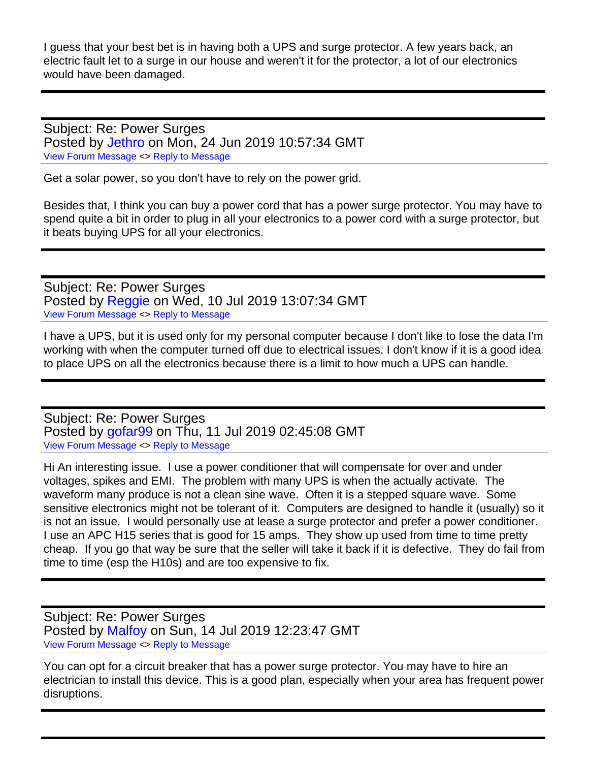I guess that your best bet is in having both a UPS and surge protector. A few years back, an electric fault let to a surge in our house and weren't it for the protector, a lot of our electronics would have been damaged.

Subject: Re: Power Surges Posted by [Jethro](https://audioroundtable.com/forum/index.php?t=usrinfo&id=8533) on Mon, 24 Jun 2019 10:57:34 GMT [View Forum Message](https://audioroundtable.com/forum/index.php?t=rview&th=22469&goto=90496#msg_90496) <> [Reply to Message](https://audioroundtable.com/forum/index.php?t=post&reply_to=90496)

Get a solar power, so you don't have to rely on the power grid.

Besides that, I think you can buy a power cord that has a power surge protector. You may have to spend quite a bit in order to plug in all your electronics to a power cord with a surge protector, but it beats buying UPS for all your electronics.

Subject: Re: Power Surges Posted by [Reggie](https://audioroundtable.com/forum/index.php?t=usrinfo&id=8534) on Wed, 10 Jul 2019 13:07:34 GMT [View Forum Message](https://audioroundtable.com/forum/index.php?t=rview&th=22469&goto=90664#msg_90664) <> [Reply to Message](https://audioroundtable.com/forum/index.php?t=post&reply_to=90664)

I have a UPS, but it is used only for my personal computer because I don't like to lose the data I'm working with when the computer turned off due to electrical issues. I don't know if it is a good idea to place UPS on all the electronics because there is a limit to how much a UPS can handle.

Subject: Re: Power Surges Posted by [gofar99](https://audioroundtable.com/forum/index.php?t=usrinfo&id=3806) on Thu, 11 Jul 2019 02:45:08 GMT [View Forum Message](https://audioroundtable.com/forum/index.php?t=rview&th=22469&goto=90667#msg_90667) <> [Reply to Message](https://audioroundtable.com/forum/index.php?t=post&reply_to=90667)

Hi An interesting issue. I use a power conditioner that will compensate for over and under voltages, spikes and EMI. The problem with many UPS is when the actually activate. The waveform many produce is not a clean sine wave. Often it is a stepped square wave. Some sensitive electronics might not be tolerant of it. Computers are designed to handle it (usually) so it is not an issue. I would personally use at lease a surge protector and prefer a power conditioner. I use an APC H15 series that is good for 15 amps. They show up used from time to time pretty cheap. If you go that way be sure that the seller will take it back if it is defective. They do fail from time to time (esp the H10s) and are too expensive to fix.

Subject: Re: Power Surges Posted by [Malfoy](https://audioroundtable.com/forum/index.php?t=usrinfo&id=8393) on Sun, 14 Jul 2019 12:23:47 GMT [View Forum Message](https://audioroundtable.com/forum/index.php?t=rview&th=22469&goto=90682#msg_90682) <> [Reply to Message](https://audioroundtable.com/forum/index.php?t=post&reply_to=90682)

You can opt for a circuit breaker that has a power surge protector. You may have to hire an electrician to install this device. This is a good plan, especially when your area has frequent power disruptions.